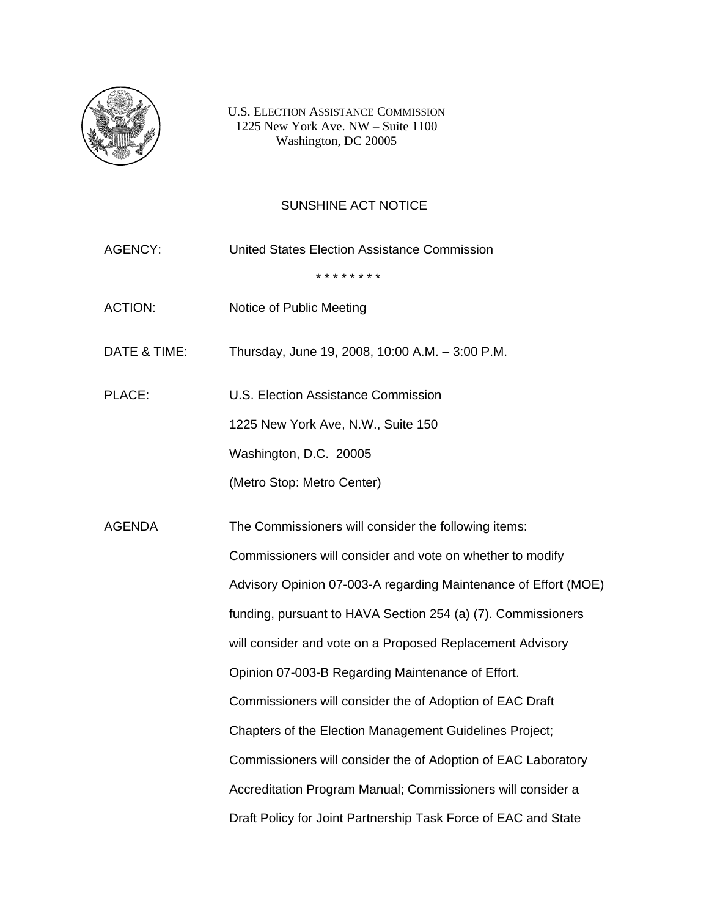

U.S. ELECTION ASSISTANCE COMMISSION 1225 New York Ave. NW – Suite 1100 Washington, DC 20005

## SUNSHINE ACT NOTICE

AGENCY: United States Election Assistance Commission \* \* \* \* \* \* \* \* ACTION: Notice of Public Meeting DATE & TIME: Thursday, June 19, 2008, 10:00 A.M. – 3:00 P.M. PLACE: U.S. Election Assistance Commission 1225 New York Ave, N.W., Suite 150 Washington, D.C. 20005 (Metro Stop: Metro Center) AGENDA The Commissioners will consider the following items: Commissioners will consider and vote on whether to modify Advisory Opinion 07-003-A regarding Maintenance of Effort (MOE) funding, pursuant to HAVA Section 254 (a) (7). Commissioners will consider and vote on a Proposed Replacement Advisory Opinion 07-003-B Regarding Maintenance of Effort. Commissioners will consider the of Adoption of EAC Draft Chapters of the Election Management Guidelines Project; Commissioners will consider the of Adoption of EAC Laboratory Accreditation Program Manual; Commissioners will consider a Draft Policy for Joint Partnership Task Force of EAC and State